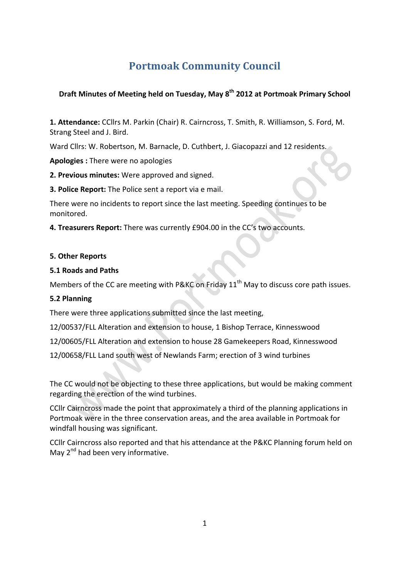# **Portmoak Community Council**

# **Draft Minutes of Meeting held on Tuesday, May 8<sup>th</sup> 2012 at Portmoak Primary School**

1. Attendance: CCllrs M. Parkin (Chair) R. Cairncross, T. Smith, R. Williamson, S. Ford, M. Strang Steel and J. Bird.

Ward Cllrs: W. Robertson, M. Barnacle, D. Cuthbert, J. Giacopazzi and 12 residents.

**Apologies**: There were no apologies

**2. Previous minutes:** Were approved and signed.

**3. Police Report:** The Police sent a report via e mail.

There were no incidents to report since the last meeting. Speeding continues to be monitored. 

**4. Treasurers Report:** There was currently £904.00 in the CC's two accounts.

#### **5. Other Reports**

#### **5.1 Roads and Paths**

Members of the CC are meeting with P&KC on Friday  $11<sup>th</sup>$  May to discuss core path issues.

### **5.2 Planning**

There were three applications submitted since the last meeting,

12/00537/FLL Alteration and extension to house, 1 Bishop Terrace, Kinnesswood

12/00605/FLL Alteration and extension to house 28 Gamekeepers Road, Kinnesswood

12/00658/FLL Land south west of Newlands Farm; erection of 3 wind turbines

The CC would not be objecting to these three applications, but would be making comment regarding the erection of the wind turbines.

CCIIr Cairncross made the point that approximately a third of the planning applications in Portmoak were in the three conservation areas, and the area available in Portmoak for windfall housing was significant.

CCIIr Cairncross also reported and that his attendance at the P&KC Planning forum held on May  $2^{nd}$  had been very informative.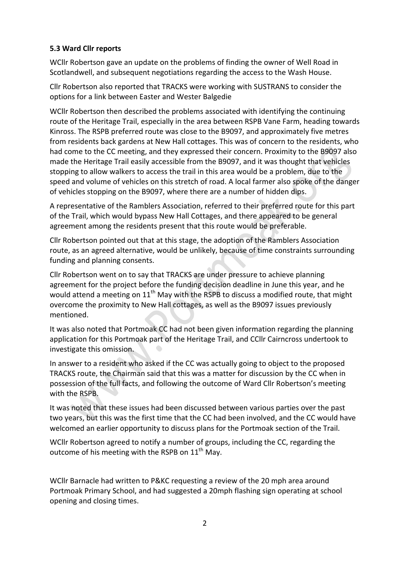# **5.3 Ward Cllr reports**

WCllr Robertson gave an update on the problems of finding the owner of Well Road in Scotlandwell, and subsequent negotiations regarding the access to the Wash House.

Cllr Robertson also reported that TRACKS were working with SUSTRANS to consider the options for a link between Easter and Wester Balgedie

WCllr Robertson then described the problems associated with identifying the continuing route of the Heritage Trail, especially in the area between RSPB Vane Farm, heading towards Kinross. The RSPB preferred route was close to the B9097, and approximately five metres from residents back gardens at New Hall cottages. This was of concern to the residents, who had come to the CC meeting, and they expressed their concern. Proximity to the B9097 also made the Heritage Trail easily accessible from the B9097, and it was thought that vehicles stopping to allow walkers to access the trail in this area would be a problem, due to the speed and volume of vehicles on this stretch of road. A local farmer also spoke of the danger of vehicles stopping on the B9097, where there are a number of hidden dips.

A representative of the Ramblers Association, referred to their preferred route for this part of the Trail, which would bypass New Hall Cottages, and there appeared to be general agreement among the residents present that this route would be preferable.

Cllr Robertson pointed out that at this stage, the adoption of the Ramblers Association route, as an agreed alternative, would be unlikely, because of time constraints surrounding funding and planning consents.

Cllr Robertson went on to say that TRACKS are under pressure to achieve planning agreement for the project before the funding decision deadline in June this year, and he would attend a meeting on  $11<sup>th</sup>$  May with the RSPB to discuss a modified route, that might overcome the proximity to New Hall cottages, as well as the B9097 issues previously mentioned.

It was also noted that Portmoak CC had not been given information regarding the planning application for this Portmoak part of the Heritage Trail, and CCIIr Cairncross undertook to investigate this omission.

In answer to a resident who asked if the CC was actually going to object to the proposed TRACKS route, the Chairman said that this was a matter for discussion by the CC when in possession of the full facts, and following the outcome of Ward Cllr Robertson's meeting with the RSPB.

It was noted that these issues had been discussed between various parties over the past two years, but this was the first time that the CC had been involved, and the CC would have welcomed an earlier opportunity to discuss plans for the Portmoak section of the Trail.

WCllr Robertson agreed to notify a number of groups, including the CC, regarding the outcome of his meeting with the RSPB on  $11<sup>th</sup>$  May.

WCllr Barnacle had written to P&KC requesting a review of the 20 mph area around Portmoak Primary School, and had suggested a 20mph flashing sign operating at school opening and closing times.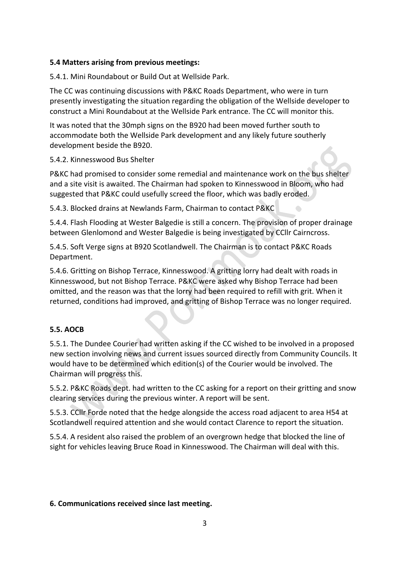## **5.4 Matters arising from previous meetings:**

5.4.1. Mini Roundabout or Build Out at Wellside Park.

The CC was continuing discussions with P&KC Roads Department, who were in turn presently investigating the situation regarding the obligation of the Wellside developer to construct a Mini Roundabout at the Wellside Park entrance. The CC will monitor this.

It was noted that the 30mph signs on the B920 had been moved further south to accommodate both the Wellside Park development and any likely future southerly development beside the B920.

5.4.2. Kinnesswood Bus Shelter

P&KC had promised to consider some remedial and maintenance work on the bus shelter and a site visit is awaited. The Chairman had spoken to Kinnesswood in Bloom, who had suggested that P&KC could usefully screed the floor, which was badly eroded.

5.4.3. Blocked drains at Newlands Farm, Chairman to contact P&KC

5.4.4. Flash Flooding at Wester Balgedie is still a concern. The provision of proper drainage between Glenlomond and Wester Balgedie is being investigated by CCllr Cairncross.

5.4.5. Soft Verge signs at B920 Scotlandwell. The Chairman is to contact P&KC Roads Department.

5.4.6. Gritting on Bishop Terrace, Kinnesswood. A gritting lorry had dealt with roads in Kinnesswood, but not Bishop Terrace. P&KC were asked why Bishop Terrace had been omitted, and the reason was that the lorry had been required to refill with grit. When it returned, conditions had improved, and gritting of Bishop Terrace was no longer required.

## **5.5. AOCB**

5.5.1. The Dundee Courier had written asking if the CC wished to be involved in a proposed new section involving news and current issues sourced directly from Community Councils. It would have to be determined which edition(s) of the Courier would be involved. The Chairman will progress this.

5.5.2. P&KC Roads dept. had written to the CC asking for a report on their gritting and snow clearing services during the previous winter. A report will be sent.

5.5.3. CCIIr Forde noted that the hedge alongside the access road adjacent to area H54 at Scotlandwell required attention and she would contact Clarence to report the situation.

5.5.4. A resident also raised the problem of an overgrown hedge that blocked the line of sight for vehicles leaving Bruce Road in Kinnesswood. The Chairman will deal with this.

## **6. Communications received since last meeting.**